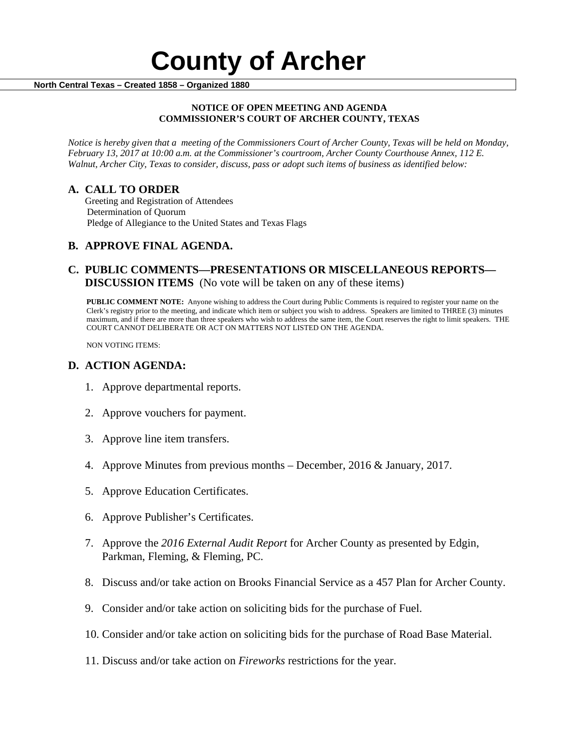# **County of Archer And County of Archer North Central Texas – Created 1858 – Organized 1880**

#### **NOTICE OF OPEN MEETING AND AGENDA COMMISSIONER'S COURT OF ARCHER COUNTY, TEXAS**

*Notice is hereby given that a meeting of the Commissioners Court of Archer County, Texas will be held on Monday, February 13, 2017 at 10:00 a.m. at the Commissioner's courtroom, Archer County Courthouse Annex, 112 E. Walnut, Archer City, Texas to consider, discuss, pass or adopt such items of business as identified below:*

**A. CALL TO ORDER** Greeting and Registration of Attendees Determination of Quorum Pledge of Allegiance to the United States and Texas Flags

## **B. APPROVE FINAL AGENDA.**

## **C. PUBLIC COMMENTS—PRESENTATIONS OR MISCELLANEOUS REPORTS— DISCUSSION ITEMS** (No vote will be taken on any of these items)

**PUBLIC COMMENT NOTE:** Anyone wishing to address the Court during Public Comments is required to register your name on the Clerk's registry prior to the meeting, and indicate which item or subject you wish to address. Speakers are limited to THREE (3) minutes maximum, and if there are more than three speakers who wish to address the same item, the Court reserves the right to limit speakers. THE COURT CANNOT DELIBERATE OR ACT ON MATTERS NOT LISTED ON THE AGENDA.

NON VOTING ITEMS:

#### **D. ACTION AGENDA:**

- 1. Approve departmental reports.
- 2. Approve vouchers for payment.
- 3. Approve line item transfers.
- 4. Approve Minutes from previous months December, 2016 & January, 2017.
- 5. Approve Education Certificates.
- 6. Approve Publisher's Certificates.
- 7. Approve the *2016 External Audit Report* for Archer County as presented by Edgin, Parkman, Fleming, & Fleming, PC.
- 8. Discuss and/or take action on Brooks Financial Service as a 457 Plan for Archer County.
- 9. Consider and/or take action on soliciting bids for the purchase of Fuel.
- 10. Consider and/or take action on soliciting bids for the purchase of Road Base Material.
- 11. Discuss and/or take action on *Fireworks* restrictions for the year.